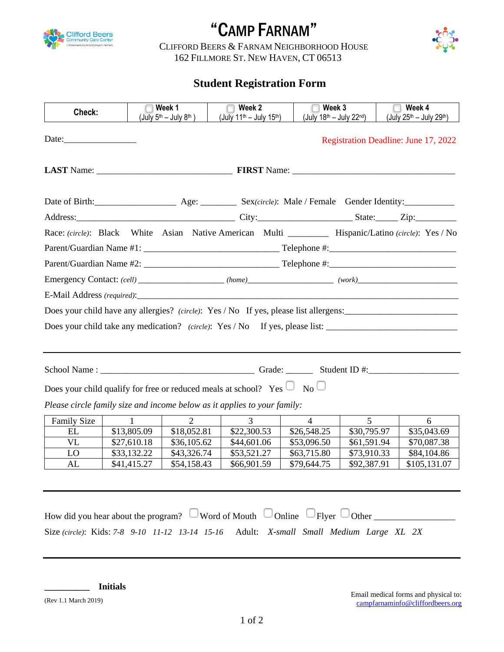

## "CAMP FARNAM"



<sup>C</sup>LIFFORD BEERS & <sup>F</sup>ARNAM NEIGHBORHOOD HOUSE 162 FILLMORE ST. NEW HAVEN, CT 06513

## **Student Registration Form**

| Check:                                                                                                 |             | Week 1<br>$(July 5th – July 8th)$ | Week 2                                           | Week 3                  |             | Week 4                                                                                |  |
|--------------------------------------------------------------------------------------------------------|-------------|-----------------------------------|--------------------------------------------------|-------------------------|-------------|---------------------------------------------------------------------------------------|--|
|                                                                                                        |             |                                   | (July 11 <sup>th</sup> - July 15 <sup>th</sup> ) | (July 18th - July 22nd) |             | (July 25th - July 29th)                                                               |  |
| Date:                                                                                                  |             |                                   |                                                  |                         |             | Registration Deadline: June 17, 2022                                                  |  |
|                                                                                                        |             |                                   |                                                  |                         |             |                                                                                       |  |
|                                                                                                        |             |                                   |                                                  |                         |             |                                                                                       |  |
|                                                                                                        |             |                                   |                                                  |                         |             |                                                                                       |  |
| Race: (circle): Black White Asian Native American Multi ___________ Hispanic/Latino (circle): Yes / No |             |                                   |                                                  |                         |             |                                                                                       |  |
|                                                                                                        |             |                                   |                                                  |                         |             |                                                                                       |  |
|                                                                                                        |             |                                   |                                                  |                         |             |                                                                                       |  |
|                                                                                                        |             |                                   |                                                  |                         |             |                                                                                       |  |
|                                                                                                        |             |                                   | E-Mail Address (required):                       |                         |             |                                                                                       |  |
|                                                                                                        |             |                                   |                                                  |                         |             | Does your child have any allergies? (circle): Yes / No If yes, please list allergens: |  |
|                                                                                                        |             |                                   |                                                  |                         |             |                                                                                       |  |
| Does your child take any medication? (circle): Yes / No If yes, please list: _______________________   |             |                                   |                                                  |                         |             |                                                                                       |  |
|                                                                                                        |             |                                   |                                                  |                         |             |                                                                                       |  |
| Does your child qualify for free or reduced meals at school? Yes $\Box$ No $\Box$                      |             |                                   |                                                  |                         |             |                                                                                       |  |
| Please circle family size and income below as it applies to your family:                               |             |                                   |                                                  |                         |             |                                                                                       |  |
| <b>Family Size</b>                                                                                     |             |                                   | 3                                                | $\overline{4}$          | 5           | 6                                                                                     |  |
| EL                                                                                                     | \$13,805.09 | \$18,052.81                       | \$22,300.53                                      | \$26,548.25             | \$30,795.97 | \$35,043.69                                                                           |  |
| <b>VL</b>                                                                                              | \$27,610.18 | \$36,105.62                       | \$44,601.06                                      | \$53,096.50             | \$61,591.94 | \$70,087.38                                                                           |  |
| LO                                                                                                     | \$33,132.22 | \$43,326.74                       | \$53,521.27                                      | \$63,715.80             | \$73,910.33 | \$84,104.86                                                                           |  |
| AL                                                                                                     | \$41,415.27 | \$54,158.43                       | \$66,901.59                                      | \$79,644.75             | \$92,387.91 | \$105,131.07                                                                          |  |
|                                                                                                        |             |                                   |                                                  |                         |             |                                                                                       |  |
|                                                                                                        |             |                                   |                                                  |                         |             |                                                                                       |  |
| Word of Mouth $\Box$ Online $\Box$ Flyer $\Box$ Other<br>How did you hear about the program?           |             |                                   |                                                  |                         |             |                                                                                       |  |

Size *(circle)*: Kids: *7-8 9-10 11-12 13-14 15-16* Adult: *X-small Small Medium Large XL 2X*

**\_\_\_\_\_\_\_\_\_\_ Initials** 

(Rev 1.1 March 2019)